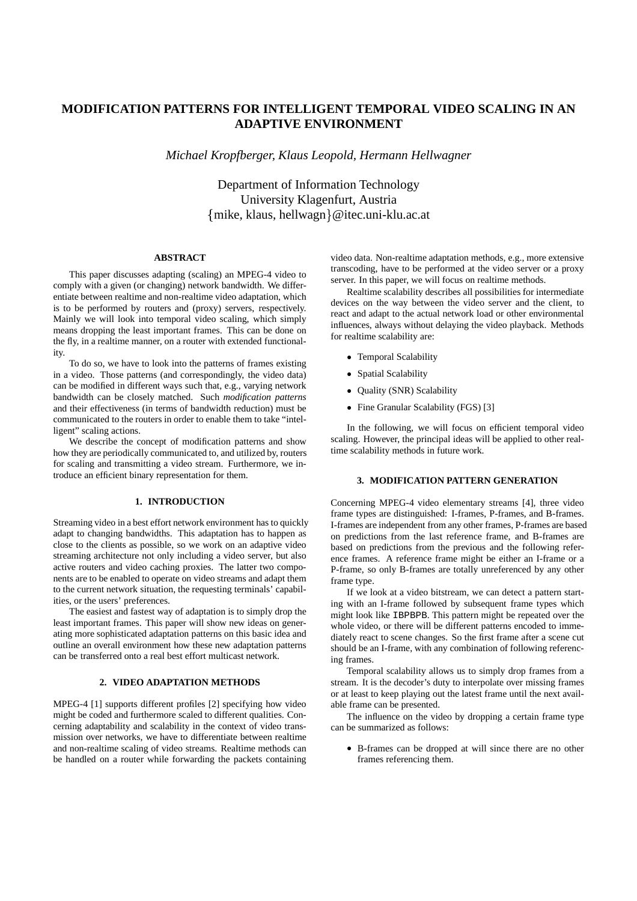# **MODIFICATION PATTERNS FOR INTELLIGENT TEMPORAL VIDEO SCALING IN AN ADAPTIVE ENVIRONMENT**

*Michael Kropfberger, Klaus Leopold, Hermann Hellwagner*

Department of Information Technology University Klagenfurt, Austria {mike, klaus, hellwagn}@itec.uni-klu.ac.at

# **ABSTRACT**

This paper discusses adapting (scaling) an MPEG-4 video to comply with a given (or changing) network bandwidth. We differentiate between realtime and non-realtime video adaptation, which is to be performed by routers and (proxy) servers, respectively. Mainly we will look into temporal video scaling, which simply means dropping the least important frames. This can be done on the fly, in a realtime manner, on a router with extended functionality.

To do so, we have to look into the patterns of frames existing in a video. Those patterns (and correspondingly, the video data) can be modified in different ways such that, e.g., varying network bandwidth can be closely matched. Such *modification patterns* and their effectiveness (in terms of bandwidth reduction) must be communicated to the routers in order to enable them to take "intelligent" scaling actions.

We describe the concept of modification patterns and show how they are periodically communicated to, and utilized by, routers for scaling and transmitting a video stream. Furthermore, we introduce an efficient binary representation for them.

#### **1. INTRODUCTION**

Streaming video in a best effort network environment has to quickly adapt to changing bandwidths. This adaptation has to happen as close to the clients as possible, so we work on an adaptive video streaming architecture not only including a video server, but also active routers and video caching proxies. The latter two components are to be enabled to operate on video streams and adapt them to the current network situation, the requesting terminals' capabilities, or the users' preferences.

The easiest and fastest way of adaptation is to simply drop the least important frames. This paper will show new ideas on generating more sophisticated adaptation patterns on this basic idea and outline an overall environment how these new adaptation patterns can be transferred onto a real best effort multicast network.

## **2. VIDEO ADAPTATION METHODS**

MPEG-4 [1] supports different profiles [2] specifying how video might be coded and furthermore scaled to different qualities. Concerning adaptability and scalability in the context of video transmission over networks, we have to differentiate between realtime and non-realtime scaling of video streams. Realtime methods can be handled on a router while forwarding the packets containing

video data. Non-realtime adaptation methods, e.g., more extensive transcoding, have to be performed at the video server or a proxy server. In this paper, we will focus on realtime methods.

Realtime scalability describes all possibilities for intermediate devices on the way between the video server and the client, to react and adapt to the actual network load or other environmental influences, always without delaying the video playback. Methods for realtime scalability are:

- Temporal Scalability
- Spatial Scalability
- Quality (SNR) Scalability
- Fine Granular Scalability (FGS) [3]

In the following, we will focus on efficient temporal video scaling. However, the principal ideas will be applied to other realtime scalability methods in future work.

### **3. MODIFICATION PATTERN GENERATION**

Concerning MPEG-4 video elementary streams [4], three video frame types are distinguished: I-frames, P-frames, and B-frames. I-frames are independent from any other frames, P-frames are based on predictions from the last reference frame, and B-frames are based on predictions from the previous and the following reference frames. A reference frame might be either an I-frame or a P-frame, so only B-frames are totally unreferenced by any other frame type.

If we look at a video bitstream, we can detect a pattern starting with an I-frame followed by subsequent frame types which might look like IBPBPB. This pattern might be repeated over the whole video, or there will be different patterns encoded to immediately react to scene changes. So the first frame after a scene cut should be an I-frame, with any combination of following referencing frames.

Temporal scalability allows us to simply drop frames from a stream. It is the decoder's duty to interpolate over missing frames or at least to keep playing out the latest frame until the next available frame can be presented.

The influence on the video by dropping a certain frame type can be summarized as follows:

- B-frames can be dropped at will since there are no other frames referencing them.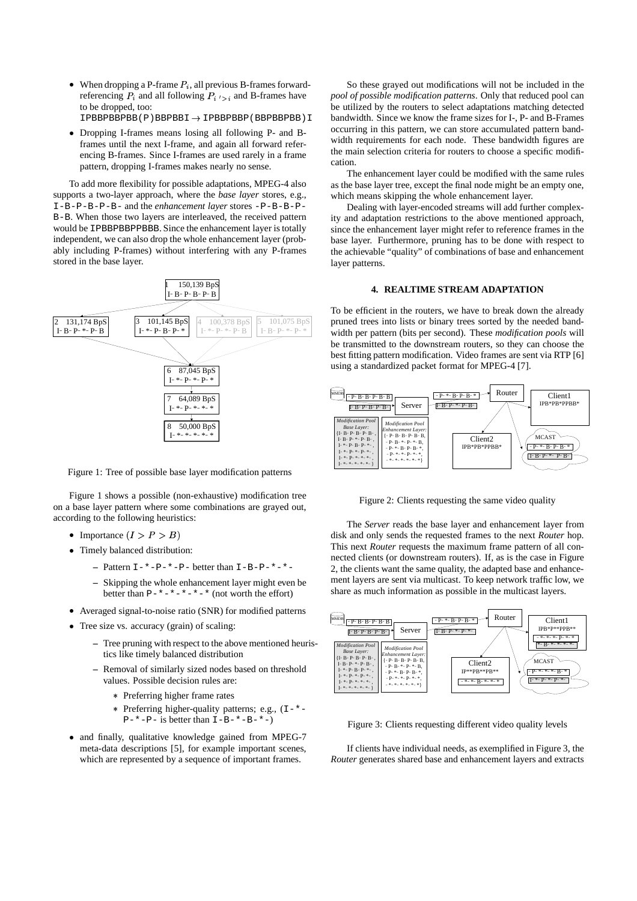- When dropping a P-frame  $P_i$ , all previous B-frames forwardreferencing  $P_i$  and all following  $P_i \rightharpoonup_i$  and B-frames have to be dropped, too:  $IPBBPBBBBB(P)BBPBBBI \rightarrow IPBBPBBB(P)BBPBBB)I$
- Dropping I-frames means losing all following P- and Bframes until the next I-frame, and again all forward referencing B-frames. Since I-frames are used rarely in a frame pattern, dropping I-frames makes nearly no sense.

To add more flexibility for possible adaptations, MPEG-4 also supports a two-layer approach, where the *base layer* stores, e.g., I-B-P-B-P-B- and the *enhancement layer* stores -P-B-B-P-B-B. When those two layers are interleaved, the received pattern would be IPBBPBBPPBBB. Since the enhancement layer is totally independent, we can also drop the whole enhancement layer (probably including P-frames) without interfering with any P-frames stored in the base layer.



Figure 1: Tree of possible base layer modification patterns

Figure 1 shows a possible (non-exhaustive) modification tree on a base layer pattern where some combinations are grayed out, according to the following heuristics:

- Importance  $(I > P > B)$
- Timely balanced distribution:
	- **–** Pattern I-\*-P-\*-P- better than I-B-P-\*-\*-
	- **–** Skipping the whole enhancement layer might even be better than  $P-+-+--+--$  (not worth the effort)
- Averaged signal-to-noise ratio (SNR) for modified patterns
- Tree size vs. accuracy (grain) of scaling:
	- **–** Tree pruning with respect to the above mentioned heuristics like timely balanced distribution
	- **–** Removal of similarly sized nodes based on threshold values. Possible decision rules are:
		- Preferring higher frame rates
		- Preferring higher-quality patterns; e.g., (I-\*-  $P-*- P-$  is better than  $I-B-*- B-*-$ )
- and finally, qualitative knowledge gained from MPEG-7 meta-data descriptions [5], for example important scenes, which are represented by a sequence of important frames.

So these grayed out modifications will not be included in the *pool of possible modification patterns*. Only that reduced pool can be utilized by the routers to select adaptations matching detected bandwidth. Since we know the frame sizes for I-, P- and B-Frames occurring in this pattern, we can store accumulated pattern bandwidth requirements for each node. These bandwidth figures are the main selection criteria for routers to choose a specific modification.

The enhancement layer could be modified with the same rules as the base layer tree, except the final node might be an empty one, which means skipping the whole enhancement layer.

Dealing with layer-encoded streams will add further complexity and adaptation restrictions to the above mentioned approach, since the enhancement layer might refer to reference frames in the base layer. Furthermore, pruning has to be done with respect to the achievable "quality" of combinations of base and enhancement layer patterns.

# **4. REALTIME STREAM ADAPTATION**

To be efficient in the routers, we have to break down the already pruned trees into lists or binary trees sorted by the needed bandwidth per pattern (bits per second). These *modification pools* will be transmitted to the downstream routers, so they can choose the best fitting pattern modification. Video frames are sent via RTP [6] using a standardized packet format for MPEG-4 [7].



Figure 2: Clients requesting the same video quality

The *Server* reads the base layer and enhancement layer from disk and only sends the requested frames to the next *Router* hop. This next *Router* requests the maximum frame pattern of all connected clients (or downstream routers). If, as is the case in Figure 2, the clients want the same quality, the adapted base and enhancement layers are sent via multicast. To keep network traffic low, we share as much information as possible in the multicast layers.



Figure 3: Clients requesting different video quality levels

If clients have individual needs, as exemplified in Figure 3, the *Router* generates shared base and enhancement layers and extracts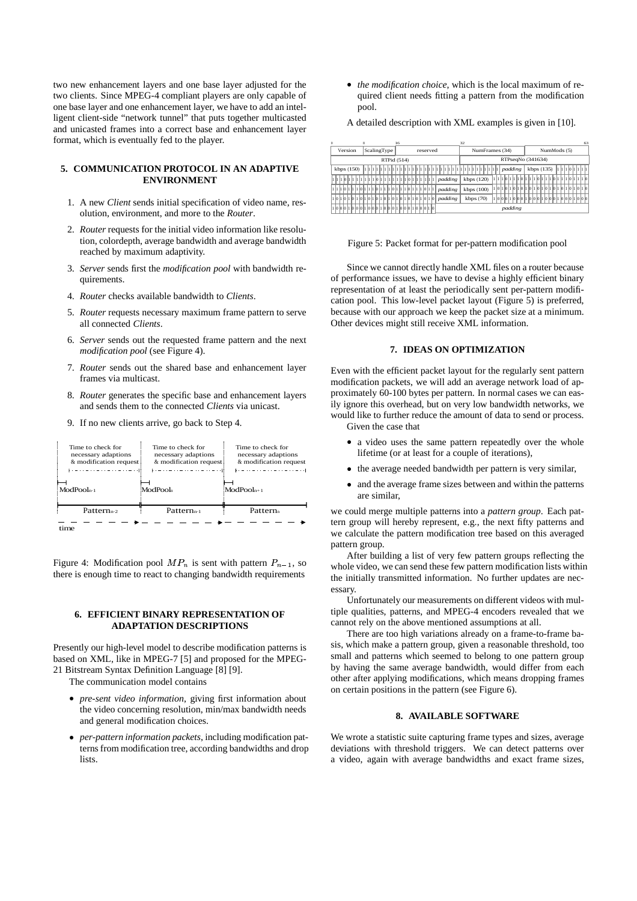two new enhancement layers and one base layer adjusted for the two clients. Since MPEG-4 compliant players are only capable of one base layer and one enhancement layer, we have to add an intelligent client-side "network tunnel" that puts together multicasted and unicasted frames into a correct base and enhancement layer format, which is eventually fed to the player.

# **5. COMMUNICATION PROTOCOL IN AN ADAPTIVE ENVIRONMENT**

- 1. A new *Client* sends initial specification of video name, resolution, environment, and more to the *Router*.
- 2. *Router* requests for the initial video information like resolution, colordepth, average bandwidth and average bandwidth reached by maximum adaptivity.
- 3. *Server* sends first the *modification pool* with bandwidth requirements.
- 4. *Router* checks available bandwidth to *Clients*.
- 5. *Router* requests necessary maximum frame pattern to serve all connected *Clients*.
- 6. *Server* sends out the requested frame pattern and the next *modification pool* (see Figure 4).
- 7. *Router* sends out the shared base and enhancement layer frames via multicast.
- 8. *Router* generates the specific base and enhancement layers and sends them to the connected *Clients* via unicast.
- 9. If no new clients arrive, go back to Step 4.

| Time to check for<br>necessary adaptions<br>& modification request | Time to check for<br>necessary adaptions<br>& modification request | Time to check for<br>necessary adaptions<br>& modification request<br><b>F</b> ( = ) ( = ) ( = ) ( = ) ( = ) ( = ) ( = ) ( = ) ( |
|--------------------------------------------------------------------|--------------------------------------------------------------------|----------------------------------------------------------------------------------------------------------------------------------|
| $ModPooln-1$                                                       | ModPool                                                            | $ModPool_{n+1}$                                                                                                                  |
| Pattern <sub>n-2</sub>                                             | Pattern <sub>n-1</sub>                                             | Pattern <sub>s</sub>                                                                                                             |
|                                                                    |                                                                    |                                                                                                                                  |

Figure 4: Modification pool  $MP_n$  is sent with pattern  $P_{n-1}$ , so there is enough time to react to changing bandwidth requirements

### **6. EFFICIENT BINARY REPRESENTATION OF ADAPTATION DESCRIPTIONS**

Presently our high-level model to describe modification patterns is based on XML, like in MPEG-7 [5] and proposed for the MPEG-21 Bitstream Syntax Definition Language [8] [9].

The communication model contains

- *pre-sent video information*, giving first information about the video concerning resolution, min/max bandwidth needs and general modification choices.
- *per-pattern information packets*, including modification patterns from modification tree, according bandwidths and drop lists.

- *the modification choice*, which is the local maximum of required client needs fitting a pattern from the modification pool.

A detailed description with XML examples is given in [10].

| $\Omega$ |                                                                       |                                    | 16<br>32 |  |  |  |  |  |  |  |  |  |  |  |  |                   |                      |  |  |  |                     |  |         |  |  |         |           |  |             |  |  | 63        |  |  |  |  |  |  |         |  |  |  |  |  |  |  |            |  |  |  |                                                                       |  |  |  |  |  |
|----------|-----------------------------------------------------------------------|------------------------------------|----------|--|--|--|--|--|--|--|--|--|--|--|--|-------------------|----------------------|--|--|--|---------------------|--|---------|--|--|---------|-----------|--|-------------|--|--|-----------|--|--|--|--|--|--|---------|--|--|--|--|--|--|--|------------|--|--|--|-----------------------------------------------------------------------|--|--|--|--|--|
|          |                                                                       | reserved<br>Version<br>ScalingType |          |  |  |  |  |  |  |  |  |  |  |  |  |                   | NumFrames (34)       |  |  |  |                     |  |         |  |  |         |           |  | NumMods (5) |  |  |           |  |  |  |  |  |  |         |  |  |  |  |  |  |  |            |  |  |  |                                                                       |  |  |  |  |  |
|          | RTPid (514)                                                           |                                    |          |  |  |  |  |  |  |  |  |  |  |  |  | RTPseqNo (341634) |                      |  |  |  |                     |  |         |  |  |         |           |  |             |  |  |           |  |  |  |  |  |  |         |  |  |  |  |  |  |  |            |  |  |  |                                                                       |  |  |  |  |  |
|          | kbps(150)                                                             |                                    |          |  |  |  |  |  |  |  |  |  |  |  |  |                   | <u>li li li li l</u> |  |  |  |                     |  |         |  |  |         |           |  |             |  |  | 111111111 |  |  |  |  |  |  | padding |  |  |  |  |  |  |  | kbps (135) |  |  |  | 1111011111                                                            |  |  |  |  |  |
|          |                                                                       |                                    |          |  |  |  |  |  |  |  |  |  |  |  |  |                   |                      |  |  |  | 1 1 0 1 1 1 1 1 1 1 |  | padding |  |  |         | kbps(120) |  |             |  |  |           |  |  |  |  |  |  |         |  |  |  |  |  |  |  |            |  |  |  | 1 1 1 1 1 0 1 1 1 1 1 0 1 1 1 1 1 0 1 1 1 1 1 0 1 1 1 1 0 1 1 1 1 1 0 |  |  |  |  |  |
|          | 1 1 1 1 0 1 1 1 1 0 1 1 1 1 0 1 1 1 1 0 1 1 1 1 0 1 1 1 0 1 1 1 0 1 1 |                                    |          |  |  |  |  |  |  |  |  |  |  |  |  |                   |                      |  |  |  |                     |  | padding |  |  |         | kbps(100) |  |             |  |  |           |  |  |  |  |  |  |         |  |  |  |  |  |  |  |            |  |  |  |                                                                       |  |  |  |  |  |
|          | 1010101010101010101010101010101010                                    |                                    |          |  |  |  |  |  |  |  |  |  |  |  |  |                   |                      |  |  |  |                     |  | padding |  |  |         | kbps(70)  |  |             |  |  |           |  |  |  |  |  |  |         |  |  |  |  |  |  |  |            |  |  |  | '1  0  0  1  1  0  0  0  1  0  0  0  1  0  0  1  0  0  0  1  0  0  0  |  |  |  |  |  |
|          | 1000101001010100010001001000100010                                    |                                    |          |  |  |  |  |  |  |  |  |  |  |  |  |                   |                      |  |  |  |                     |  |         |  |  | padding |           |  |             |  |  |           |  |  |  |  |  |  |         |  |  |  |  |  |  |  |            |  |  |  |                                                                       |  |  |  |  |  |

#### Figure 5: Packet format for per-pattern modification pool

Since we cannot directly handle XML files on a router because of performance issues, we have to devise a highly efficient binary representation of at least the periodically sent per-pattern modification pool. This low-level packet layout (Figure 5) is preferred, because with our approach we keep the packet size at a minimum. Other devices might still receive XML information.

# **7. IDEAS ON OPTIMIZATION**

Even with the efficient packet layout for the regularly sent pattern modification packets, we will add an average network load of approximately 60-100 bytes per pattern. In normal cases we can easily ignore this overhead, but on very low bandwidth networks, we would like to further reduce the amount of data to send or process. Given the case that

- a video uses the same pattern repeatedly over the whole lifetime (or at least for a couple of iterations),
- the average needed bandwidth per pattern is very similar,
- and the average frame sizes between and within the patterns are similar,

we could merge multiple patterns into a *pattern group*. Each pattern group will hereby represent, e.g., the next fifty patterns and we calculate the pattern modification tree based on this averaged pattern group.

After building a list of very few pattern groups reflecting the whole video, we can send these few pattern modification lists within the initially transmitted information. No further updates are necessary.

Unfortunately our measurements on different videos with multiple qualities, patterns, and MPEG-4 encoders revealed that we cannot rely on the above mentioned assumptions at all.

There are too high variations already on a frame-to-frame basis, which make a pattern group, given a reasonable threshold, too small and patterns which seemed to belong to one pattern group by having the same average bandwidth, would differ from each other after applying modifications, which means dropping frames on certain positions in the pattern (see Figure 6).

## **8. AVAILABLE SOFTWARE**

We wrote a statistic suite capturing frame types and sizes, average deviations with threshold triggers. We can detect patterns over a video, again with average bandwidths and exact frame sizes,